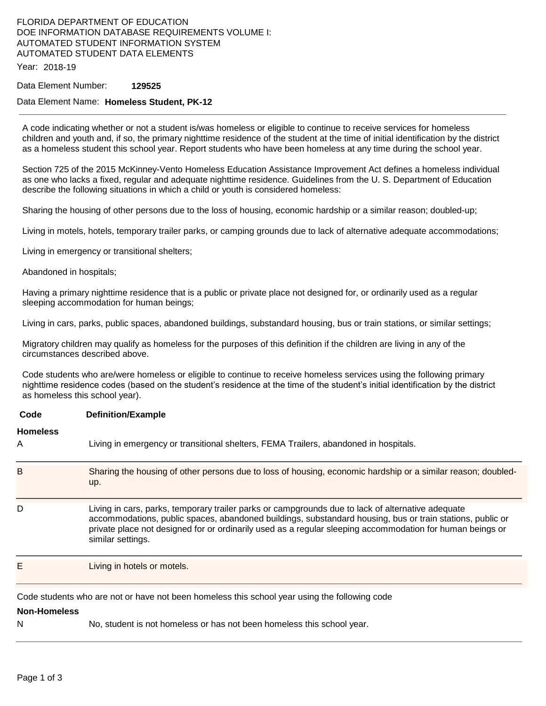## FLORIDA DEPARTMENT OF EDUCATION DOE INFORMATION DATABASE REQUIREMENTS VOLUME I: AUTOMATED STUDENT INFORMATION SYSTEM AUTOMATED STUDENT DATA ELEMENTS

Year: 2018-19

### Data Element Number: **129525**

## Data Element Name: **Homeless Student, PK-12**

A code indicating whether or not a student is/was homeless or eligible to continue to receive services for homeless children and youth and, if so, the primary nighttime residence of the student at the time of initial identification by the district as a homeless student this school year. Report students who have been homeless at any time during the school year.

Section 725 of the 2015 McKinney-Vento Homeless Education Assistance Improvement Act defines a homeless individual as one who lacks a fixed, regular and adequate nighttime residence. Guidelines from the U. S. Department of Education describe the following situations in which a child or youth is considered homeless:

Sharing the housing of other persons due to the loss of housing, economic hardship or a similar reason; doubled-up;

Living in motels, hotels, temporary trailer parks, or camping grounds due to lack of alternative adequate accommodations;

Living in emergency or transitional shelters;

### Abandoned in hospitals;

Having a primary nighttime residence that is a public or private place not designed for, or ordinarily used as a regular sleeping accommodation for human beings;

Living in cars, parks, public spaces, abandoned buildings, substandard housing, bus or train stations, or similar settings;

Migratory children may qualify as homeless for the purposes of this definition if the children are living in any of the circumstances described above.

Code students who are/were homeless or eligible to continue to receive homeless services using the following primary nighttime residence codes (based on the student's residence at the time of the student's initial identification by the district as homeless this school year).

### **Code Definition/Example**

E Living in hotels or motels.

## **Homeless**

| пинсісээ<br>A | Living in emergency or transitional shelters, FEMA Trailers, abandoned in hospitals.                                                                                                                                                                                                                                                             |
|---------------|--------------------------------------------------------------------------------------------------------------------------------------------------------------------------------------------------------------------------------------------------------------------------------------------------------------------------------------------------|
| B             | Sharing the housing of other persons due to loss of housing, economic hardship or a similar reason; doubled-<br>up.                                                                                                                                                                                                                              |
| D             | Living in cars, parks, temporary trailer parks or campgrounds due to lack of alternative adequate<br>accommodations, public spaces, abandoned buildings, substandard housing, bus or train stations, public or<br>private place not designed for or ordinarily used as a regular sleeping accommodation for human beings or<br>similar settings. |

Code students who are not or have not been homeless this school year using the following code

## **Non-Homeless**

N No, student is not homeless or has not been homeless this school year.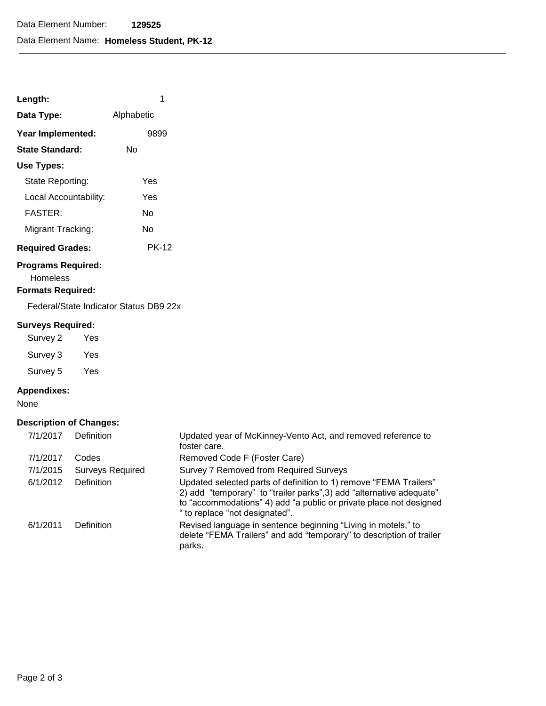| Length:    |            |
|------------|------------|
| Data Tyne: | Alphabetic |

| рата туре.              | <b>Alphabetic</b> |
|-------------------------|-------------------|
| Year Implemented:       | 9899              |
| State Standard:         | N٥                |
| Use Types:              |                   |
| State Reporting:        | Yes               |
| Local Accountability:   | Yes               |
| <b>FASTER:</b>          | N٥                |
| Migrant Tracking:       | N٥                |
| <b>Required Grades:</b> | PK-12             |

## **Programs Required:**

Homeless

## **Formats Required:**

Federal/State Indicator Status DB9 22x

## **Surveys Required:**

Survey 2 Yes Survey 3 Yes Survey 5 Yes

## **Appendixes:**

None

# **Description of Changes:**

| 7/1/2017 | <b>Definition</b>       | Updated year of McKinney-Vento Act, and removed reference to<br>foster care.                                                                                                                                                                      |
|----------|-------------------------|---------------------------------------------------------------------------------------------------------------------------------------------------------------------------------------------------------------------------------------------------|
| 7/1/2017 | Codes                   | Removed Code F (Foster Care)                                                                                                                                                                                                                      |
| 7/1/2015 | <b>Surveys Required</b> | Survey 7 Removed from Required Surveys                                                                                                                                                                                                            |
| 6/1/2012 | <b>Definition</b>       | Updated selected parts of definition to 1) remove "FEMA Trailers"<br>2) add "temporary" to "trailer parks", 3) add "alternative adequate"<br>to "accommodations" 4) add "a public or private place not designed<br>" to replace "not designated". |
| 6/1/2011 | Definition              | Revised language in sentence beginning "Living in motels," to<br>delete "FEMA Trailers" and add "temporary" to description of trailer<br>parks.                                                                                                   |